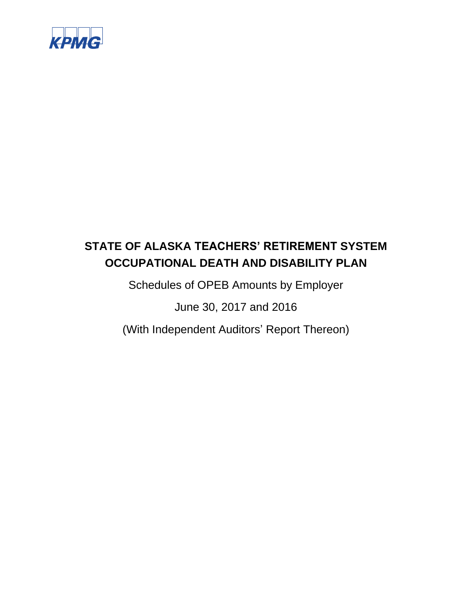

Schedules of OPEB Amounts by Employer

June 30, 2017 and 2016

(With Independent Auditors' Report Thereon)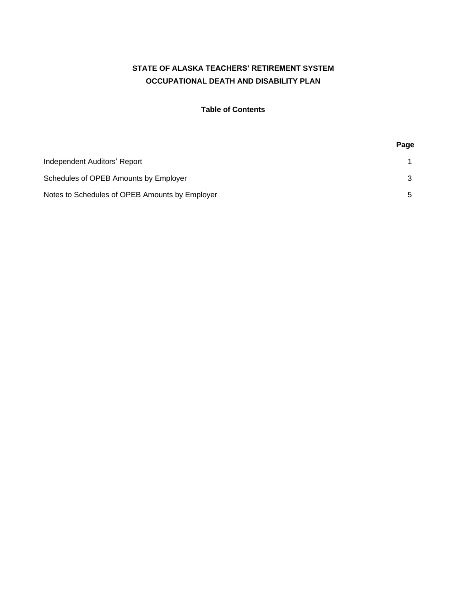### **Table of Contents**

|                                                | Page |
|------------------------------------------------|------|
| Independent Auditors' Report                   |      |
| Schedules of OPEB Amounts by Employer          |      |
| Notes to Schedules of OPEB Amounts by Employer |      |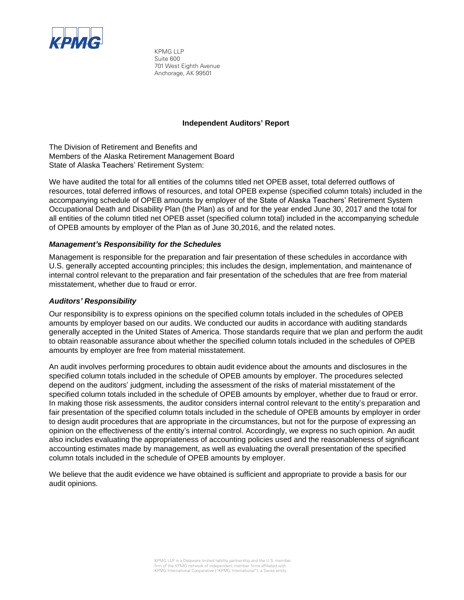

KPMG LLP Suite 600 701 West Eighth Avenue Anchorage, AK 99501

#### **Independent Auditors' Report**

The Division of Retirement and Benefits and Members of the Alaska Retirement Management Board State of Alaska Teachers' Retirement System:

We have audited the total for all entities of the columns titled net OPEB asset, total deferred outflows of resources, total deferred inflows of resources, and total OPEB expense (specified column totals) included in the accompanying schedule of OPEB amounts by employer of the State of Alaska Teachers' Retirement System Occupational Death and Disability Plan (the Plan) as of and for the year ended June 30, 2017 and the total for all entities of the column titled net OPEB asset (specified column total) included in the accompanying schedule of OPEB amounts by employer of the Plan as of June 30,2016, and the related notes.

#### *Management's Responsibility for the Schedules*

Management is responsible for the preparation and fair presentation of these schedules in accordance with U.S. generally accepted accounting principles; this includes the design, implementation, and maintenance of internal control relevant to the preparation and fair presentation of the schedules that are free from material misstatement, whether due to fraud or error.

#### *Auditors' Responsibility*

Our responsibility is to express opinions on the specified column totals included in the schedules of OPEB amounts by employer based on our audits. We conducted our audits in accordance with auditing standards generally accepted in the United States of America. Those standards require that we plan and perform the audit to obtain reasonable assurance about whether the specified column totals included in the schedules of OPEB amounts by employer are free from material misstatement.

An audit involves performing procedures to obtain audit evidence about the amounts and disclosures in the specified column totals included in the schedule of OPEB amounts by employer. The procedures selected depend on the auditors' judgment, including the assessment of the risks of material misstatement of the specified column totals included in the schedule of OPEB amounts by employer, whether due to fraud or error. In making those risk assessments, the auditor considers internal control relevant to the entity's preparation and fair presentation of the specified column totals included in the schedule of OPEB amounts by employer in order to design audit procedures that are appropriate in the circumstances, but not for the purpose of expressing an opinion on the effectiveness of the entity's internal control. Accordingly, we express no such opinion. An audit also includes evaluating the appropriateness of accounting policies used and the reasonableness of significant accounting estimates made by management, as well as evaluating the overall presentation of the specified column totals included in the schedule of OPEB amounts by employer.

We believe that the audit evidence we have obtained is sufficient and appropriate to provide a basis for our audit opinions.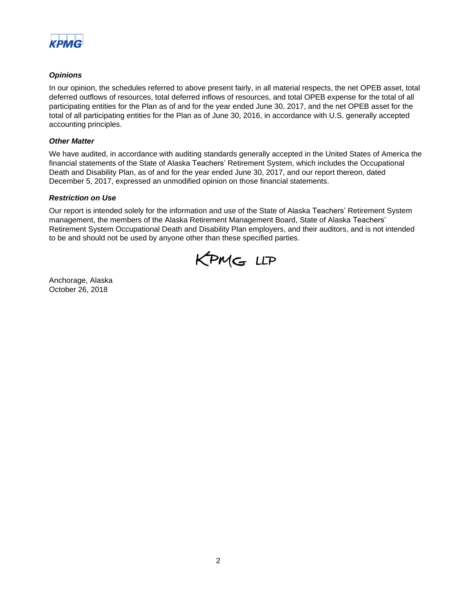

### *Opinions*

In our opinion, the schedules referred to above present fairly, in all material respects, the net OPEB asset, total deferred outflows of resources, total deferred inflows of resources, and total OPEB expense for the total of all participating entities for the Plan as of and for the year ended June 30, 2017, and the net OPEB asset for the total of all participating entities for the Plan as of June 30, 2016, in accordance with U.S. generally accepted accounting principles.

#### *Other Matter*

We have audited, in accordance with auditing standards generally accepted in the United States of America the financial statements of the State of Alaska Teachers' Retirement System, which includes the Occupational Death and Disability Plan, as of and for the year ended June 30, 2017, and our report thereon, dated December 5, 2017, expressed an unmodified opinion on those financial statements.

#### *Restriction on Use*

Our report is intended solely for the information and use of the State of Alaska Teachers' Retirement System management, the members of the Alaska Retirement Management Board, State of Alaska Teachers' Retirement System Occupational Death and Disability Plan employers, and their auditors, and is not intended to be and should not be used by anyone other than these specified parties.



Anchorage, Alaska October 26, 2018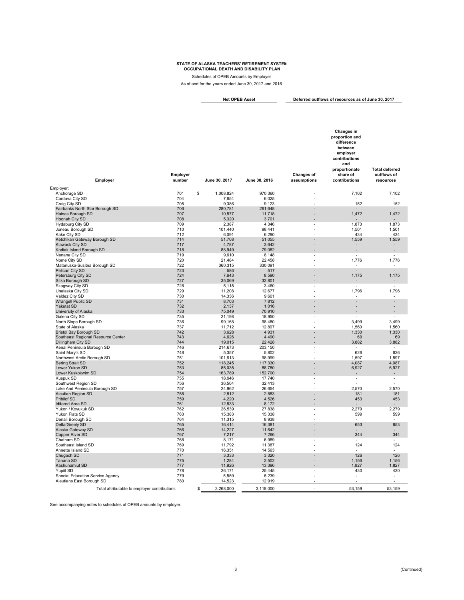Schedules of OPEB Amounts by Employer

As of and for the years ended June 30, 2017 and 2016

**Deferred outflows of resources as of June 30, 2017 Net OPEB Asset**

|                                                               |                    |                   |                   |                           | Changes in<br>proportion and<br>difference<br>between<br>employer<br>contributions<br>and |                                                   |
|---------------------------------------------------------------|--------------------|-------------------|-------------------|---------------------------|-------------------------------------------------------------------------------------------|---------------------------------------------------|
| Employer                                                      | Employer<br>number | June 30, 2017     | June 30, 2016     | Changes of<br>assumptions | proportionate<br>share of<br>contributions                                                | <b>Total deferred</b><br>outflows of<br>resources |
| Employer:                                                     |                    |                   |                   |                           |                                                                                           |                                                   |
| Anchorage SD                                                  | 701                | \$<br>1,008,824   | 970,360           |                           | 7,102                                                                                     | 7,102                                             |
| Cordova City SD                                               | 704                | 7,654             | 6,025             | ä,                        |                                                                                           |                                                   |
| Craig City SD<br>Fairbanks North Star Borough SD              | 705<br>706         | 9,386<br>280,781  | 9,123<br>261,648  |                           | 152                                                                                       | 152                                               |
| Haines Borough SD                                             | 707                | 10,577            | 11,718            |                           | 1,472                                                                                     | 1,472                                             |
| Hoonah City SD                                                | 708                | 5,320             | 3,701             |                           |                                                                                           |                                                   |
| Hydaburg City SD                                              | 709                | 2,387             | 4,346             |                           | 1,873                                                                                     | 1,873                                             |
| Juneau Borough SD                                             | 710                | 101,440           | 98,441            |                           | 1,501                                                                                     | 1,501                                             |
| Kake City SD                                                  | 712                | 6.091             | 6.290             |                           | 434                                                                                       | 434                                               |
| Ketchikan Gateway Borough SD                                  | 714<br>717         | 51,708            | 51,055            |                           | 1,559                                                                                     | 1,559                                             |
| Klawock City SD<br>Kodiak Island Borough SD                   | 718                | 4,787<br>88,949   | 3,642<br>79,082   |                           | $\overline{\phantom{m}}$<br>L.                                                            | $\overline{\phantom{a}}$<br>L,                    |
| Nenana City SD                                                | 719                | 9,610             | 8,148             |                           | $\overline{a}$                                                                            | $\overline{a}$                                    |
| Nome City SD                                                  | 720                | 21,484            | 22,458            |                           | 1,776                                                                                     | 1,776                                             |
| Matanuska-Susitna Borough SD                                  | 722                | 360,315           | 330,091           |                           | $\overline{\phantom{a}}$                                                                  | $\overline{\phantom{a}}$                          |
| Pelican City SD                                               | 723                | 586               | 517               | L,                        | L.                                                                                        | $\overline{a}$                                    |
| Petersburg City SD                                            | 724                | 7,643             | 8,590             |                           | 1,175                                                                                     | 1,175                                             |
| Sitka Borough SD                                              | 727<br>728         | 35.069            | 32.801            |                           | -<br>$\overline{a}$                                                                       | $\overline{a}$                                    |
| Skagway City SD<br>Unalaska City SD                           | 729                | 5,115<br>11,208   | 3,460<br>12,677   | ÷,                        | 1,796                                                                                     | 1,796                                             |
| Valdez City SD                                                | 730                | 14,336            | 9,601             |                           | $\overline{a}$                                                                            |                                                   |
| Wrangell Public SD                                            | 731                | 8,703             | 7,812             |                           |                                                                                           |                                                   |
| <b>Yakutat SD</b>                                             | 732                | 2,137             | 1,016             |                           |                                                                                           |                                                   |
| University of Alaska                                          | 733                | 75,049            | 70,910            |                           |                                                                                           | L,                                                |
| Galena City SD                                                | 735                | 21,198            | 18,950            | ٠                         |                                                                                           |                                                   |
| North Slope Borough SD<br>State of Alaska                     | 736<br>737         | 99,168<br>11,712  | 98,480<br>12,897  | ÷.                        | 3,499<br>1,560                                                                            | 3,499<br>1,560                                    |
| <b>Bristol Bay Borough SD</b>                                 | 742                | 3,628             | 4,931             |                           | 1,330                                                                                     | 1,330                                             |
| Southeast Regional Resource Center                            | 743                | 4,626             | 4,490             |                           | 69                                                                                        | 69                                                |
| Dillingham City SD                                            | 744                | 19,015            | 22,428            |                           | 3,882                                                                                     | 3,882                                             |
| Kenai Peninsula Borough SD                                    | 746                | 214,673           | 203,150           |                           |                                                                                           |                                                   |
| Saint Mary's SD                                               | 748                | 5,357             | 5,802             |                           | 626                                                                                       | 626                                               |
| Northwest Arctic Borough SD                                   | 751<br>752         | 101,913           | 98,999            | $\overline{a}$            | 1,597<br>4,087                                                                            | 1,597<br>4,087                                    |
| <b>Bering Strait SD</b><br>Lower Yukon SD                     | 753                | 118,245<br>85,035 | 117,330<br>88,780 | $\overline{a}$            | 6,927                                                                                     | 6,927                                             |
| Lower Kuskokwim SD                                            | 754                | 163,789           | 152,700           |                           |                                                                                           |                                                   |
| Kuspuk SD                                                     | 755                | 18,946            | 17,740            |                           | $\overline{\phantom{a}}$                                                                  | $\overline{\phantom{a}}$                          |
| Southwest Region SD                                           | 756                | 36,504            | 32.413            |                           | Ĭ.                                                                                        | L,                                                |
| Lake And Peninsula Borough SD                                 | 757                | 24,962            | 26,654            |                           | 2,570                                                                                     | 2,570                                             |
| Aleutian Region SD                                            | 758                | 2,812             | 2,883             |                           | 181                                                                                       | 181                                               |
| <b>Pribilof SD</b><br><b>Iditarod Area SD</b>                 | 759<br>761         | 4,220<br>12,833   | 4,526<br>8,172    |                           | 453                                                                                       | 453                                               |
| Yukon / Koyukuk SD                                            | 762                | 26,539            | 27,838            | $\overline{\phantom{a}}$  | 2,279                                                                                     | 2,279                                             |
| Yukon Flats SD                                                | 763                | 15,383            | 15,338            | ÷.                        | 599                                                                                       | 599                                               |
| Denali Borough SD                                             | 764                | 11,315            | 8,938             | ä,                        |                                                                                           |                                                   |
| Delta/Greely SD                                               | 765                | 16,414            | 16,381            |                           | 653                                                                                       | 653                                               |
| Alaska Gateway SD                                             | 766                | 14,227            | 11,642            |                           |                                                                                           |                                                   |
| Copper River SD<br>Chatham SD                                 | 767<br>768         | 7,217<br>8,171    | 7,266<br>6,989    |                           | 344                                                                                       | 344                                               |
| Southeast Island SD                                           | 769                | 11,792            | 11,387            |                           | 124                                                                                       | 124                                               |
| Annette Island SD                                             | 770                | 16,351            | 14,563            |                           |                                                                                           |                                                   |
| Chugach SD                                                    | 771                | 3,333             | 3,320             |                           | 126                                                                                       | 126                                               |
| Tanana SD                                                     | 775                | 1,284             | 2,502             | L,                        | 1,156                                                                                     | 1,156                                             |
| Kashunamiut SD                                                | 777                | 11,926            | 13,396            |                           | 1,827                                                                                     | 1,827                                             |
| Yupiit SD                                                     | 778                | 26,171            | 25,445            |                           | 430                                                                                       | 430                                               |
| Special Education Service Agency<br>Aleutians East Borough SD | 779<br>780         | 5,559<br>14,523   | 5,239<br>12,919   |                           | ÷                                                                                         | $\overline{a}$                                    |
|                                                               |                    |                   |                   |                           |                                                                                           |                                                   |
| Total attributable to employer contributions                  |                    | \$<br>3,268,000   | 3,118,000         | L.                        | 53,159                                                                                    | 53,159                                            |

See accompanying notes to schedules of OPEB amounts by employer.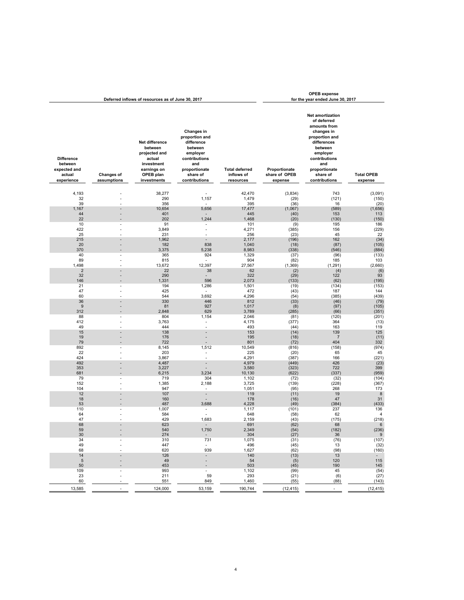| Deferred inflows of resources as of June 30, 2017                    |                                  |                                                                                                               |                                                                                                                                         |                                                  |                                           | <b>OPEB</b> expense<br>for the year ended June 30, 2017                                                                                                                                            |                              |
|----------------------------------------------------------------------|----------------------------------|---------------------------------------------------------------------------------------------------------------|-----------------------------------------------------------------------------------------------------------------------------------------|--------------------------------------------------|-------------------------------------------|----------------------------------------------------------------------------------------------------------------------------------------------------------------------------------------------------|------------------------------|
| <b>Difference</b><br>between<br>expected and<br>actual<br>experience | <b>Changes of</b><br>assumptions | Net difference<br>between<br>projected and<br>actual<br>investment<br>earnings on<br>OPEB plan<br>investments | Changes in<br>proportion and<br>difference<br>between<br>employer<br>contributions<br>and<br>proportionate<br>share of<br>contributions | <b>Total deferred</b><br>inflows of<br>resources | Proportionate<br>share of OPEB<br>expense | <b>Net amortization</b><br>of deferred<br>amounts from<br>changes in<br>proportion and<br>differences<br>between<br>employer<br>contributions<br>and<br>proportionate<br>share of<br>contributions | <b>Total OPEB</b><br>expense |
| 4,193                                                                |                                  | 38,277                                                                                                        | $\overline{a}$                                                                                                                          | 42,470                                           | (3,834)                                   | 743                                                                                                                                                                                                | (3,091)                      |
| 32                                                                   |                                  | 290                                                                                                           | 1,157                                                                                                                                   | 1,479                                            | (29)                                      | (121)                                                                                                                                                                                              | (150)                        |
| 39                                                                   | Ĭ.                               | 356                                                                                                           |                                                                                                                                         | 395                                              | (36)                                      | 16                                                                                                                                                                                                 | (20)                         |
| 1,167                                                                | $\overline{a}$                   | 10,654                                                                                                        | 5,656                                                                                                                                   | 17,477                                           | (1,067)                                   | (589)                                                                                                                                                                                              | (1,656)                      |
| 44                                                                   |                                  | 401                                                                                                           |                                                                                                                                         | 445                                              | (40)                                      | 153                                                                                                                                                                                                | 113                          |
| 22                                                                   |                                  | 202                                                                                                           | 1,244                                                                                                                                   | 1,468                                            | (20)                                      | (130)                                                                                                                                                                                              | (150)                        |
| 10                                                                   |                                  | 91                                                                                                            | $\qquad \qquad \blacksquare$                                                                                                            | 101                                              | (9)                                       | 195                                                                                                                                                                                                | 186                          |
| 422                                                                  | ä,                               | 3,849                                                                                                         | ÷.                                                                                                                                      | 4,271                                            | (385)                                     | 156                                                                                                                                                                                                | (229)                        |
| 25                                                                   |                                  | 231                                                                                                           | $\overline{a}$                                                                                                                          | 256                                              | (23)                                      | 45                                                                                                                                                                                                 | 22                           |
| 215                                                                  |                                  | 1,962                                                                                                         | $\overline{\phantom{a}}$                                                                                                                | 2,177                                            | (196)                                     | 162                                                                                                                                                                                                | (34)                         |
| 20<br>370                                                            | L,                               | 182<br>3,375                                                                                                  | 838<br>5,238                                                                                                                            | 1,040<br>8,983                                   | (18)<br>(338)                             | (87)<br>(546)                                                                                                                                                                                      | (105)                        |
| 40                                                                   |                                  | 365                                                                                                           | 924                                                                                                                                     | 1,329                                            | (37)                                      | (96)                                                                                                                                                                                               | (884)<br>(133)               |
| 89                                                                   | Ĭ.                               | 815                                                                                                           | ۰.                                                                                                                                      | 904                                              | (82)                                      | 185                                                                                                                                                                                                | 103                          |
| 1,498                                                                |                                  | 13,672                                                                                                        | 12,397                                                                                                                                  | 27,567                                           | (1, 369)                                  | (1, 291)                                                                                                                                                                                           | (2,660)                      |
| $\sqrt{2}$                                                           | L                                | 22                                                                                                            | 38                                                                                                                                      | 62                                               | (2)                                       | (4)                                                                                                                                                                                                | (6)                          |
| 32                                                                   | Ĭ.                               | 290                                                                                                           | $\overline{a}$                                                                                                                          | 322                                              | (29)                                      | 122                                                                                                                                                                                                | 93                           |
| 146                                                                  |                                  | 1,331                                                                                                         | 596                                                                                                                                     | 2,073                                            | (133)                                     | (62)                                                                                                                                                                                               | (195)                        |
| 21                                                                   | Ĭ.                               | 194                                                                                                           | 1,286                                                                                                                                   | 1,501                                            | (19)                                      | (134)                                                                                                                                                                                              | (153)                        |
| 47                                                                   | L.                               | 425                                                                                                           |                                                                                                                                         | 472                                              | (43)                                      | 187                                                                                                                                                                                                | 144                          |
| 60                                                                   |                                  | 544                                                                                                           | 3,692                                                                                                                                   | 4,296                                            | (54)                                      | (385)                                                                                                                                                                                              | (439)                        |
| 36                                                                   |                                  | 330                                                                                                           | 446                                                                                                                                     | 812                                              | (33)                                      | (46)                                                                                                                                                                                               | (79)                         |
| 9<br>312                                                             | Ĭ.                               | 81<br>2,848                                                                                                   | 927<br>629                                                                                                                              | 1,017<br>3,789                                   | (8)<br>(285)                              | (97)<br>(66)                                                                                                                                                                                       | (105)<br>(351)               |
| 88                                                                   | Ĭ.                               | 804                                                                                                           | 1,154                                                                                                                                   | 2,046                                            | (81)                                      | (120)                                                                                                                                                                                              | (201)                        |
| 412                                                                  | L                                | 3,763                                                                                                         | $\blacksquare$                                                                                                                          | 4,175                                            | (377)                                     | 364                                                                                                                                                                                                | (13)                         |
| 49                                                                   |                                  | 444                                                                                                           | $\overline{a}$                                                                                                                          | 493                                              | (44)                                      | 163                                                                                                                                                                                                | 119                          |
| 15                                                                   |                                  | 138                                                                                                           | $\overline{a}$                                                                                                                          | 153                                              | (14)                                      | 139                                                                                                                                                                                                | 125                          |
| 19                                                                   |                                  | 176                                                                                                           | $\overline{a}$                                                                                                                          | 195                                              | (18)                                      | $\overline{7}$                                                                                                                                                                                     | (11)                         |
| 79                                                                   |                                  | 722                                                                                                           |                                                                                                                                         | 801                                              | (72)                                      | 404                                                                                                                                                                                                | 332                          |
| 892                                                                  | $\overline{a}$                   | 8,145                                                                                                         | 1,512                                                                                                                                   | 10,549                                           | (816)                                     | (158)                                                                                                                                                                                              | (974)                        |
| 22                                                                   |                                  | 203                                                                                                           | $\overline{\phantom{0}}$                                                                                                                | 225                                              | (20)                                      | 65                                                                                                                                                                                                 | 45                           |
| 424<br>492                                                           | $\overline{a}$                   | 3,867                                                                                                         | $\overline{a}$                                                                                                                          | 4,291                                            | (387)                                     | 166<br>426                                                                                                                                                                                         | (221)                        |
| 353                                                                  | $\overline{a}$                   | 4,487<br>3,227                                                                                                | $\overline{\phantom{a}}$                                                                                                                | 4,979<br>3,580                                   | (449)<br>(323)                            | 722                                                                                                                                                                                                | (23)<br>399                  |
| 681                                                                  |                                  | 6,215                                                                                                         | 3,234                                                                                                                                   | 10,130                                           | (622)                                     | (337)                                                                                                                                                                                              | (959)                        |
| 79                                                                   | $\overline{a}$                   | 719                                                                                                           | 304                                                                                                                                     | 1,102                                            | (72)                                      | (32)                                                                                                                                                                                               | (104)                        |
| 152                                                                  |                                  | 1,385                                                                                                         | 2,188                                                                                                                                   | 3,725                                            | (139)                                     | (228)                                                                                                                                                                                              | (367)                        |
| 104                                                                  | Ĭ.                               | 947                                                                                                           | $\blacksquare$                                                                                                                          | 1,051                                            | (95)                                      | 268                                                                                                                                                                                                | 173                          |
| 12                                                                   |                                  | 107                                                                                                           | $\overline{\phantom{a}}$                                                                                                                | 119                                              | (11)                                      | 19                                                                                                                                                                                                 | 8                            |
| 18                                                                   |                                  | 160                                                                                                           | $\overline{\phantom{a}}$                                                                                                                | 178                                              | (16)                                      | 47                                                                                                                                                                                                 | 31                           |
| 53<br>110                                                            |                                  | 487                                                                                                           | 3,688                                                                                                                                   | 4,228                                            | (49)                                      | (384)                                                                                                                                                                                              | (433)                        |
| 64                                                                   |                                  | 1,007<br>584                                                                                                  |                                                                                                                                         | 1,117<br>648                                     | (101)<br>(58)                             | 237<br>62                                                                                                                                                                                          | 136<br>$\overline{4}$        |
| 47                                                                   | í.                               | 429                                                                                                           | 1,683                                                                                                                                   | 2,159                                            | (43)                                      | (175)                                                                                                                                                                                              | (218)                        |
| 68                                                                   |                                  | 623                                                                                                           | -                                                                                                                                       | 691                                              | (62)                                      | 68                                                                                                                                                                                                 | 6                            |
| 59                                                                   |                                  | 540                                                                                                           | 1,750                                                                                                                                   | 2,349                                            | (54)                                      | (182)                                                                                                                                                                                              |                              |
| 30                                                                   |                                  | 274                                                                                                           | $\blacksquare$                                                                                                                          | 304                                              | (27)                                      | 36                                                                                                                                                                                                 | $\overset{(236)}{9}$         |
| 34                                                                   | $\overline{a}$                   | 310                                                                                                           | 731                                                                                                                                     | 1,075                                            | (31)                                      | (76)                                                                                                                                                                                               | (107)                        |
| 49                                                                   | $\overline{a}$                   | 447                                                                                                           |                                                                                                                                         | 496                                              | (45)                                      | 13                                                                                                                                                                                                 | (32)                         |
| 68                                                                   | $\overline{a}$                   | 620                                                                                                           | 939                                                                                                                                     | 1,627                                            | (62)                                      | (98)                                                                                                                                                                                               | (160)                        |
| 14<br>$\,$ 5 $\,$                                                    |                                  | 126<br>49                                                                                                     | $\overline{\phantom{a}}$<br>$\overline{\phantom{a}}$                                                                                    | 140<br>54                                        | (13)                                      | 13<br>120                                                                                                                                                                                          | $\sim$<br>115                |
| 50                                                                   |                                  | 453                                                                                                           | L.                                                                                                                                      | 503                                              | (5)<br>(45)                               | 190                                                                                                                                                                                                | 145                          |
| 109                                                                  |                                  | 993                                                                                                           | ۰                                                                                                                                       | 1,102                                            | (99)                                      | 45                                                                                                                                                                                                 | (54)                         |
| 23                                                                   | $\overline{a}$                   | 211                                                                                                           | 59                                                                                                                                      | 293                                              | (21)                                      | (6)                                                                                                                                                                                                | (27)                         |
| 60                                                                   |                                  | 551                                                                                                           | 849                                                                                                                                     | 1,460                                            | (55)                                      | (88)                                                                                                                                                                                               | (143)                        |
| 13,585                                                               |                                  | 124,000                                                                                                       | 53,159                                                                                                                                  | 190,744                                          | (12, 415)                                 | ÷.                                                                                                                                                                                                 | (12, 415)                    |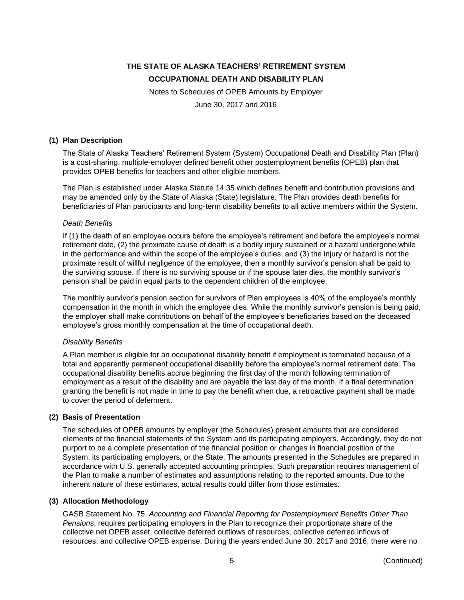Notes to Schedules of OPEB Amounts by Employer

June 30, 2017 and 2016

#### **(1) Plan Description**

The State of Alaska Teachers' Retirement System (System) Occupational Death and Disability Plan (Plan) is a cost-sharing, multiple-employer defined benefit other postemployment benefits (OPEB) plan that provides OPEB benefits for teachers and other eligible members.

The Plan is established under Alaska Statute 14.35 which defines benefit and contribution provisions and may be amended only by the State of Alaska (State) legislature. The Plan provides death benefits for beneficiaries of Plan participants and long-term disability benefits to all active members within the System.

#### *Death Benefits*

If (1) the death of an employee occurs before the employee's retirement and before the employee's normal retirement date, (2) the proximate cause of death is a bodily injury sustained or a hazard undergone while in the performance and within the scope of the employee's duties, and (3) the injury or hazard is not the proximate result of willful negligence of the employee, then a monthly survivor's pension shall be paid to the surviving spouse. If there is no surviving spouse or if the spouse later dies, the monthly survivor's pension shall be paid in equal parts to the dependent children of the employee.

The monthly survivor's pension section for survivors of Plan employees is 40% of the employee's monthly compensation in the month in which the employee dies. While the monthly survivor's pension is being paid, the employer shall make contributions on behalf of the employee's beneficiaries based on the deceased employee's gross monthly compensation at the time of occupational death.

#### *Disability Benefits*

A Plan member is eligible for an occupational disability benefit if employment is terminated because of a total and apparently permanent occupational disability before the employee's normal retirement date. The occupational disability benefits accrue beginning the first day of the month following termination of employment as a result of the disability and are payable the last day of the month. If a final determination granting the benefit is not made in time to pay the benefit when due, a retroactive payment shall be made to cover the period of deferment.

#### **(2) Basis of Presentation**

The schedules of OPEB amounts by employer (the Schedules) present amounts that are considered elements of the financial statements of the System and its participating employers. Accordingly, they do not purport to be a complete presentation of the financial position or changes in financial position of the System, its participating employers, or the State. The amounts presented in the Schedules are prepared in accordance with U.S. generally accepted accounting principles. Such preparation requires management of the Plan to make a number of estimates and assumptions relating to the reported amounts. Due to the inherent nature of these estimates, actual results could differ from those estimates.

#### **(3) Allocation Methodology**

GASB Statement No. 75, *Accounting and Financial Reporting for Postemployment Benefits Other Than Pensions*, requires participating employers in the Plan to recognize their proportionate share of the collective net OPEB asset, collective deferred outflows of resources, collective deferred inflows of resources, and collective OPEB expense. During the years ended June 30, 2017 and 2016, there were no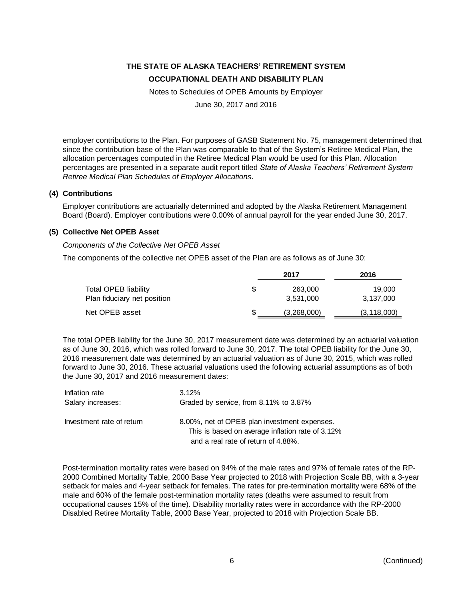Notes to Schedules of OPEB Amounts by Employer

June 30, 2017 and 2016

employer contributions to the Plan. For purposes of GASB Statement No. 75, management determined that since the contribution base of the Plan was comparable to that of the System's Retiree Medical Plan, the allocation percentages computed in the Retiree Medical Plan would be used for this Plan. Allocation percentages are presented in a separate audit report titled *State of Alaska Teachers' Retirement System Retiree Medical Plan Schedules of Employer Allocations*.

#### **(4) Contributions**

Employer contributions are actuarially determined and adopted by the Alaska Retirement Management Board (Board). Employer contributions were 0.00% of annual payroll for the year ended June 30, 2017.

#### **(5) Collective Net OPEB Asset**

*Components of the Collective Net OPEB Asset*

The components of the collective net OPEB asset of the Plan are as follows as of June 30:

|                             |   | 2017        | 2016          |
|-----------------------------|---|-------------|---------------|
| Total OPEB liability        | S | 263,000     | 19,000        |
| Plan fiduciary net position |   | 3,531,000   | 3,137,000     |
| Net OPEB asset              |   | (3,268,000) | (3, 118, 000) |

The total OPEB liability for the June 30, 2017 measurement date was determined by an actuarial valuation as of June 30, 2016, which was rolled forward to June 30, 2017. The total OPEB liability for the June 30, 2016 measurement date was determined by an actuarial valuation as of June 30, 2015, which was rolled forward to June 30, 2016. These actuarial valuations used the following actuarial assumptions as of both the June 30, 2017 and 2016 measurement dates:

| Inflation rate            | 3.12%                                                                                            |
|---------------------------|--------------------------------------------------------------------------------------------------|
| Salary increases:         | Graded by service, from 8.11% to 3.87%                                                           |
| Investment rate of return | 8.00%, net of OPEB plan investment expenses.<br>This is based on average inflation rate of 3.12% |
|                           | and a real rate of return of 4.88%.                                                              |

Post-termination mortality rates were based on 94% of the male rates and 97% of female rates of the RP-2000 Combined Mortality Table, 2000 Base Year projected to 2018 with Projection Scale BB, with a 3-year setback for males and 4-year setback for females. The rates for pre-termination mortality were 68% of the male and 60% of the female post-termination mortality rates (deaths were assumed to result from occupational causes 15% of the time). Disability mortality rates were in accordance with the RP-2000 Disabled Retiree Mortality Table, 2000 Base Year, projected to 2018 with Projection Scale BB.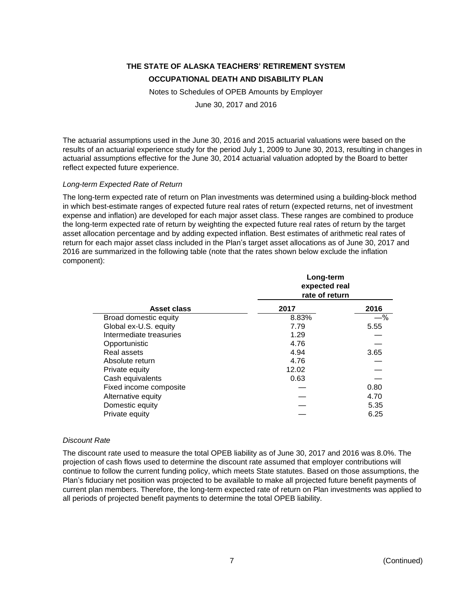Notes to Schedules of OPEB Amounts by Employer

June 30, 2017 and 2016

The actuarial assumptions used in the June 30, 2016 and 2015 actuarial valuations were based on the results of an actuarial experience study for the period July 1, 2009 to June 30, 2013, resulting in changes in actuarial assumptions effective for the June 30, 2014 actuarial valuation adopted by the Board to better reflect expected future experience.

#### *Long-term Expected Rate of Return*

The long-term expected rate of return on Plan investments was determined using a building-block method in which best-estimate ranges of expected future real rates of return (expected returns, net of investment expense and inflation) are developed for each major asset class. These ranges are combined to produce the long-term expected rate of return by weighting the expected future real rates of return by the target asset allocation percentage and by adding expected inflation. Best estimates of arithmetic real rates of return for each major asset class included in the Plan's target asset allocations as of June 30, 2017 and 2016 are summarized in the following table (note that the rates shown below exclude the inflation component):

|                         | Long-term<br>expected real<br>rate of return |      |  |  |
|-------------------------|----------------------------------------------|------|--|--|
| Asset class             | 2017                                         | 2016 |  |  |
| Broad domestic equity   | 8.83%                                        | —%   |  |  |
| Global ex-U.S. equity   | 7.79                                         | 5.55 |  |  |
| Intermediate treasuries | 1.29                                         |      |  |  |
| Opportunistic           | 4.76                                         |      |  |  |
| Real assets             | 4.94                                         | 3.65 |  |  |
| Absolute return         | 4.76                                         |      |  |  |
| Private equity          | 12.02                                        |      |  |  |
| Cash equivalents        | 0.63                                         |      |  |  |
| Fixed income composite  |                                              | 0.80 |  |  |
| Alternative equity      |                                              | 4.70 |  |  |
| Domestic equity         |                                              | 5.35 |  |  |
| Private equity          |                                              | 6.25 |  |  |

### *Discount Rate*

The discount rate used to measure the total OPEB liability as of June 30, 2017 and 2016 was 8.0%. The projection of cash flows used to determine the discount rate assumed that employer contributions will continue to follow the current funding policy, which meets State statutes. Based on those assumptions, the Plan's fiduciary net position was projected to be available to make all projected future benefit payments of current plan members. Therefore, the long-term expected rate of return on Plan investments was applied to all periods of projected benefit payments to determine the total OPEB liability.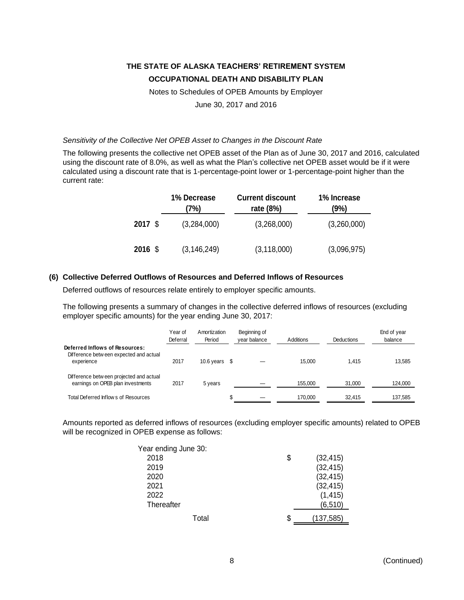Notes to Schedules of OPEB Amounts by Employer

June 30, 2017 and 2016

#### *Sensitivity of the Collective Net OPEB Asset to Changes in the Discount Rate*

The following presents the collective net OPEB asset of the Plan as of June 30, 2017 and 2016, calculated using the discount rate of 8.0%, as well as what the Plan's collective net OPEB asset would be if it were calculated using a discount rate that is 1-percentage-point lower or 1-percentage-point higher than the current rate:

|         | 1% Decrease<br>7%) | <b>Current discount</b><br>rate (8%) | 1% Increase<br>(9%) |
|---------|--------------------|--------------------------------------|---------------------|
| 2017 \$ | (3,284,000)        | (3,268,000)                          | (3,260,000)         |
| 2016 \$ | (3, 146, 249)      | (3, 118, 000)                        | (3,096,975)         |

#### **(6) Collective Deferred Outflows of Resources and Deferred Inflows of Resources**

Deferred outflows of resources relate entirely to employer specific amounts.

The following presents a summary of changes in the collective deferred inflows of resources (excluding employer specific amounts) for the year ending June 30, 2017:

|                                                                                        | Year of<br>Deferral | Amortization<br>Period |   | Beginning of<br>vear balance | <b>Additions</b> | <b>Deductions</b> | End of year<br>balance |
|----------------------------------------------------------------------------------------|---------------------|------------------------|---|------------------------------|------------------|-------------------|------------------------|
| Deferred Inflows of Resources:<br>Difference between expected and actual<br>experience | 2017                | 10.6 years             | S |                              | 15.000           | 1.415             | 13.585                 |
| Difference between projected and actual<br>earnings on OPEB plan investments           | 2017                | 5 years                |   |                              | 155.000          | 31,000            | 124,000                |
| Total Deferred Inflows of Resources                                                    |                     |                        |   |                              | 170.000          | 32.415            | 137,585                |

Amounts reported as deferred inflows of resources (excluding employer specific amounts) related to OPEB will be recognized in OPEB expense as follows:

| Year ending June 30: |                 |
|----------------------|-----------------|
| 2018                 | \$<br>(32, 415) |
| 2019                 | (32, 415)       |
| 2020                 | (32, 415)       |
| 2021                 | (32, 415)       |
| 2022                 | (1, 415)        |
| Thereafter           | (6, 510)        |
| Total                | (137, 585)      |